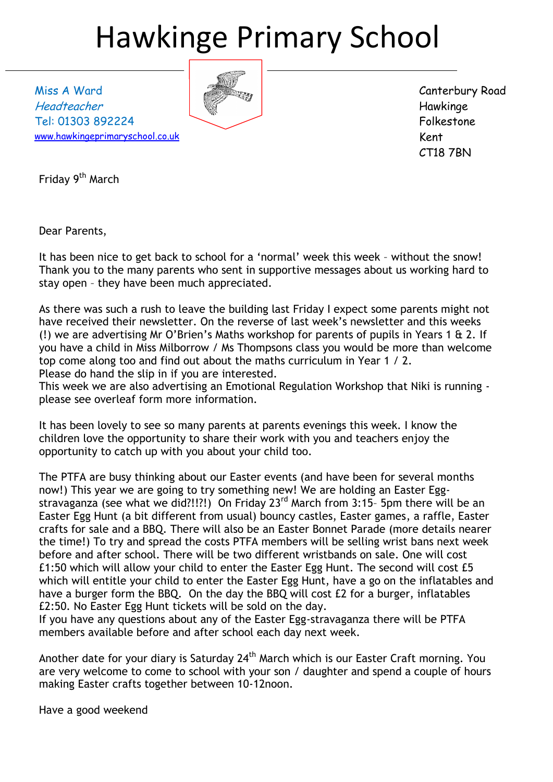# Hawkinge Primary School

Miss A Ward Headteacher Tel: 01303 892224 [www.hawkingeprimaryschool.co.uk](http://www.hawkingeprimaryschool.co.uk/)



Canterbury Road Hawkinge Folkestone Kent CT18 7BN

Friday 9<sup>th</sup> March

Dear Parents,

It has been nice to get back to school for a 'normal' week this week – without the snow! Thank you to the many parents who sent in supportive messages about us working hard to stay open – they have been much appreciated.

As there was such a rush to leave the building last Friday I expect some parents might not have received their newsletter. On the reverse of last week's newsletter and this weeks (!) we are advertising Mr O'Brien's Maths workshop for parents of pupils in Years 1 & 2. If you have a child in Miss Milborrow / Ms Thompsons class you would be more than welcome top come along too and find out about the maths curriculum in Year 1 / 2. Please do hand the slip in if you are interested.

This week we are also advertising an Emotional Regulation Workshop that Niki is running please see overleaf form more information.

It has been lovely to see so many parents at parents evenings this week. I know the children love the opportunity to share their work with you and teachers enjoy the opportunity to catch up with you about your child too.

The PTFA are busy thinking about our Easter events (and have been for several months now!) This year we are going to try something new! We are holding an Easter Eggstravaganza (see what we did?!!?!) On Friday 23<sup>rd</sup> March from 3:15- 5pm there will be an Easter Egg Hunt (a bit different from usual) bouncy castles, Easter games, a raffle, Easter crafts for sale and a BBQ. There will also be an Easter Bonnet Parade (more details nearer the time!) To try and spread the costs PTFA members will be selling wrist bans next week before and after school. There will be two different wristbands on sale. One will cost £1:50 which will allow your child to enter the Easter Egg Hunt. The second will cost £5 which will entitle your child to enter the Easter Egg Hunt, have a go on the inflatables and have a burger form the BBQ. On the day the BBQ will cost £2 for a burger, inflatables £2:50. No Easter Egg Hunt tickets will be sold on the day.

If you have any questions about any of the Easter Egg-stravaganza there will be PTFA members available before and after school each day next week.

Another date for your diary is Saturday 24<sup>th</sup> March which is our Easter Craft morning. You are very welcome to come to school with your son / daughter and spend a couple of hours making Easter crafts together between 10-12noon.

Have a good weekend